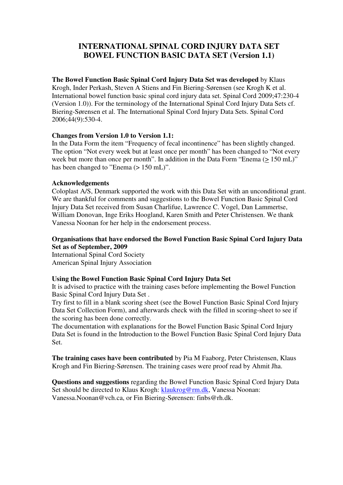# **INTERNATIONAL SPINAL CORD INJURY DATA SET BOWEL FUNCTION BASIC DATA SET (Version 1.1)**

#### **The Bowel Function Basic Spinal Cord Injury Data Set was developed** by Klaus

Krogh, Inder Perkash, Steven A Stiens and Fin Biering-Sørensen (see Krogh K et al. International bowel function basic spinal cord injury data set. Spinal Cord 2009;47:230-4 (Version 1.0)). For the terminology of the International Spinal Cord Injury Data Sets cf. Biering-Sørensen et al. The International Spinal Cord Injury Data Sets. Spinal Cord 2006;44(9):530-4.

#### **Changes from Version 1.0 to Version 1.1:**

In the Data Form the item "Frequency of fecal incontinence" has been slightly changed. The option "Not every week but at least once per month" has been changed to "Not every week but more than once per month". In addition in the Data Form "Enema (> 150 mL)" has been changed to "Enema ( $> 150$  mL)".

#### **Acknowledgements**

Coloplast A/S, Denmark supported the work with this Data Set with an unconditional grant. We are thankful for comments and suggestions to the Bowel Function Basic Spinal Cord Injury Data Set received from Susan Charlifue, Lawrence C. Vogel, Dan Lammertse, William Donovan, Inge Eriks Hoogland, Karen Smith and Peter Christensen. We thank Vanessa Noonan for her help in the endorsement process.

#### **Organisations that have endorsed the Bowel Function Basic Spinal Cord Injury Data Set as of September, 2009**

International Spinal Cord Society American Spinal Injury Association

## **Using the Bowel Function Basic Spinal Cord Injury Data Set**

It is advised to practice with the training cases before implementing the Bowel Function Basic Spinal Cord Injury Data Set .

Try first to fill in a blank scoring sheet (see the Bowel Function Basic Spinal Cord Injury Data Set Collection Form), and afterwards check with the filled in scoring-sheet to see if the scoring has been done correctly.

The documentation with explanations for the Bowel Function Basic Spinal Cord Injury Data Set is found in the Introduction to the Bowel Function Basic Spinal Cord Injury Data Set.

**The training cases have been contributed** by Pia M Faaborg, Peter Christensen, Klaus Krogh and Fin Biering-Sørensen. The training cases were proof read by Ahmit Jha.

**Questions and suggestions** regarding the Bowel Function Basic Spinal Cord Injury Data Set should be directed to Klaus Krogh: klaukrog@rm.dk, Vanessa Noonan: Vanessa.Noonan@vch.ca, or Fin Biering-Sørensen: finbs@rh.dk.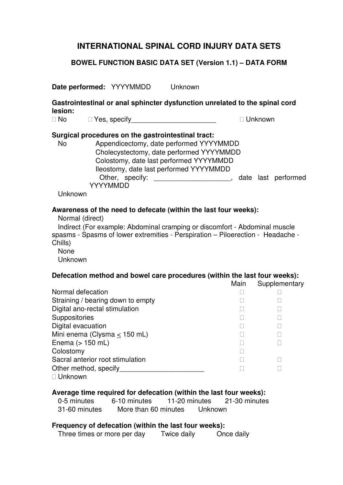## **BOWEL FUNCTION BASIC DATA SET (Version 1.1) – DATA FORM**

**Date performed:** YYYYMMDD Unknown

**Gastrointestinal or anal sphincter dysfunction unrelated to the spinal cord lesion:** 

No Yes, specify **No William Strategies and William Strategies Control** Unknown

#### **Surgical procedures on the gastrointestinal tract:**

 No Appendicectomy, date performed YYYYMMDD Cholecystectomy, date performed YYYYMMDD Colostomy, date last performed YYYYMMDD Ileostomy, date last performed YYYYMMDD Other, specify: example a set of the last performed  $\alpha$ , date last performed YYYYMMDD

Unknown

#### **Awareness of the need to defecate (within the last four weeks):**

Normal (direct)

 Indirect (For example: Abdominal cramping or discomfort - Abdominal muscle spasms - Spasms of lower extremities - Perspiration – Piloerection - Headache - Chills) None

Unknown

## **Defecation method and bowel care procedures (within the last four weeks):**

Main Supplementary

Normal defecation Straining / bearing down to empty Digital ano-rectal stimulation **Suppositories** Digital evacuation Mini enema (Clysma < 150 mL) Enema (> 150 mL) Colostomy Sacral anterior root stimulation Other method, specify Unknown

## **Average time required for defecation (within the last four weeks):**

 0-5 minutes 6-10 minutes 11-20 minutes 21-30 minutes 31-60 minutes More than 60 minutes Unknown

#### **Frequency of defecation (within the last four weeks):**

Three times or more per day Twice daily Once daily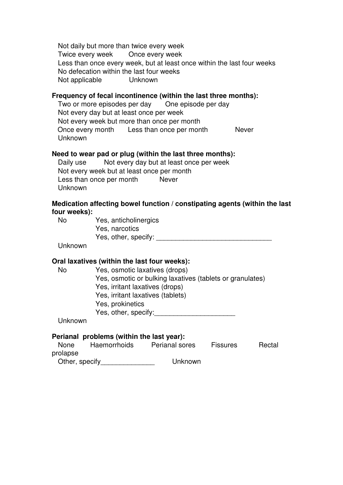Not daily but more than twice every week Twice every week Once every week Less than once every week, but at least once within the last four weeks No defecation within the last four weeks Not applicable Unknown

#### **Frequency of fecal incontinence (within the last three months):**

Two or more episodes per day One episode per day Not every day but at least once per week Not every week but more than once per month Once every month Less than once per month Never Unknown

#### **Need to wear pad or plug (within the last three months):**

 Daily use Not every day but at least once per week Not every week but at least once per month Less than once per month Never Unknown

## **Medication affecting bowel function / constipating agents (within the last four weeks):**

 No Yes, anticholinergics Yes, narcotics Yes, other, specify: \_\_\_\_\_\_\_\_\_\_\_\_\_\_\_\_\_\_\_\_\_\_\_\_\_\_\_\_\_\_

Unknown

## **Oral laxatives (within the last four weeks):**

 No Yes, osmotic laxatives (drops) Yes, osmotic or bulking laxatives (tablets or granulates) Yes, irritant laxatives (drops) Yes, irritant laxatives (tablets) Yes, prokinetics Yes, other, specify:

Unknown

| <b>None</b>    | Haemorrhoids | Perianal sores | <b>Fissures</b> | Rectal |
|----------------|--------------|----------------|-----------------|--------|
| prolapse       |              |                |                 |        |
| Other, specify |              | Unknown        |                 |        |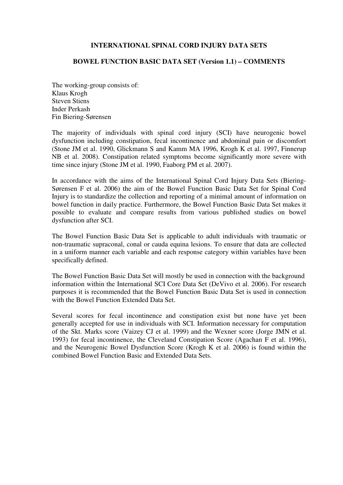#### **BOWEL FUNCTION BASIC DATA SET (Version 1.1) – COMMENTS**

The working-group consists of: Klaus Krogh Steven Stiens Inder Perkash Fin Biering-Sørensen

The majority of individuals with spinal cord injury (SCI) have neurogenic bowel dysfunction including constipation, fecal incontinence and abdominal pain or discomfort (Stone JM et al. 1990, Glickmann S and Kamm MA 1996, Krogh K et al. 1997, Finnerup NB et al. 2008). Constipation related symptoms become significantly more severe with time since injury (Stone JM et al. 1990, Faaborg PM et al. 2007).

In accordance with the aims of the International Spinal Cord Injury Data Sets (Biering-Sørensen F et al. 2006) the aim of the Bowel Function Basic Data Set for Spinal Cord Injury is to standardize the collection and reporting of a minimal amount of information on bowel function in daily practice. Furthermore, the Bowel Function Basic Data Set makes it possible to evaluate and compare results from various published studies on bowel dysfunction after SCI.

The Bowel Function Basic Data Set is applicable to adult individuals with traumatic or non-traumatic supraconal, conal or cauda equina lesions. To ensure that data are collected in a uniform manner each variable and each response category within variables have been specifically defined.

The Bowel Function Basic Data Set will mostly be used in connection with the background information within the International SCI Core Data Set (DeVivo et al. 2006). For research purposes it is recommended that the Bowel Function Basic Data Set is used in connection with the Bowel Function Extended Data Set.

Several scores for fecal incontinence and constipation exist but none have yet been generally accepted for use in individuals with SCI. Information necessary for computation of the Skt. Marks score (Vaizey CJ et al. 1999) and the Wexner score (Jorge JMN et al. 1993) for fecal incontinence, the Cleveland Constipation Score (Agachan F et al. 1996), and the Neurogenic Bowel Dysfunction Score (Krogh K et al. 2006) is found within the combined Bowel Function Basic and Extended Data Sets.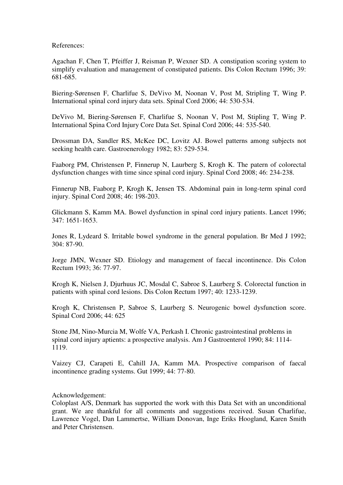References:

Agachan F, Chen T, Pfeiffer J, Reisman P, Wexner SD. A constipation scoring system to simplify evaluation and management of constipated patients. Dis Colon Rectum 1996; 39: 681-685.

Biering-Sørensen F, Charlifue S, DeVivo M, Noonan V, Post M, Stripling T, Wing P. International spinal cord injury data sets. Spinal Cord 2006; 44: 530-534.

DeVivo M, Biering-Sørensen F, Charlifue S, Noonan V, Post M, Stipling T, Wing P. International Spina Cord Injury Core Data Set. Spinal Cord 2006; 44: 535-540.

Drossman DA, Sandler RS, McKee DC, Lovitz AJ. Bowel patterns among subjects not seeking health care. Gastroenerology 1982; 83: 529-534.

Faaborg PM, Christensen P, Finnerup N, Laurberg S, Krogh K. The patern of colorectal dysfunction changes with time since spinal cord injury. Spinal Cord 2008; 46: 234-238.

Finnerup NB, Faaborg P, Krogh K, Jensen TS. Abdominal pain in long-term spinal cord injury. Spinal Cord 2008; 46: 198-203.

Glickmann S, Kamm MA. Bowel dysfunction in spinal cord injury patients. Lancet 1996; 347: 1651-1653.

Jones R, Lydeard S. Irritable bowel syndrome in the general population. Br Med J 1992; 304: 87-90.

Jorge JMN, Wexner SD. Etiology and management of faecal incontinence. Dis Colon Rectum 1993; 36: 77-97.

Krogh K, Nielsen J, Djurhuus JC, Mosdal C, Sabroe S, Laurberg S. Colorectal function in patients with spinal cord lesions. Dis Colon Rectum 1997; 40: 1233-1239.

Krogh K, Christensen P, Sabroe S, Laurberg S. Neurogenic bowel dysfunction score. Spinal Cord 2006; 44: 625

Stone JM, Nino-Murcia M, Wolfe VA, Perkash I. Chronic gastrointestinal problems in spinal cord injury aptients: a prospective analysis. Am J Gastroenterol 1990; 84: 1114- 1119.

Vaizey CJ, Carapeti E, Cahill JA, Kamm MA. Prospective comparison of faecal incontinence grading systems. Gut 1999; 44: 77-80.

Acknowledgement:

Coloplast A/S, Denmark has supported the work with this Data Set with an unconditional grant. We are thankful for all comments and suggestions received. Susan Charlifue, Lawrence Vogel, Dan Lammertse, William Donovan, Inge Eriks Hoogland, Karen Smith and Peter Christensen.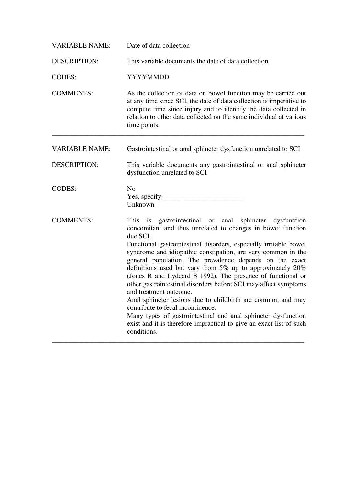| <b>VARIABLE NAME:</b> | Date of data collection                                                                                                                                                                                                                                                                                                                                                                                                                                                                                                                                                                                                                                                                                                                                                                                                           |  |  |
|-----------------------|-----------------------------------------------------------------------------------------------------------------------------------------------------------------------------------------------------------------------------------------------------------------------------------------------------------------------------------------------------------------------------------------------------------------------------------------------------------------------------------------------------------------------------------------------------------------------------------------------------------------------------------------------------------------------------------------------------------------------------------------------------------------------------------------------------------------------------------|--|--|
| <b>DESCRIPTION:</b>   | This variable documents the date of data collection                                                                                                                                                                                                                                                                                                                                                                                                                                                                                                                                                                                                                                                                                                                                                                               |  |  |
| <b>CODES:</b>         | YYYYMMDD                                                                                                                                                                                                                                                                                                                                                                                                                                                                                                                                                                                                                                                                                                                                                                                                                          |  |  |
| <b>COMMENTS:</b>      | As the collection of data on bowel function may be carried out<br>at any time since SCI, the date of data collection is imperative to<br>compute time since injury and to identify the data collected in<br>relation to other data collected on the same individual at various<br>time points.                                                                                                                                                                                                                                                                                                                                                                                                                                                                                                                                    |  |  |
| <b>VARIABLE NAME:</b> | Gastrointestinal or anal sphincter dysfunction unrelated to SCI                                                                                                                                                                                                                                                                                                                                                                                                                                                                                                                                                                                                                                                                                                                                                                   |  |  |
| <b>DESCRIPTION:</b>   | This variable documents any gastrointestinal or anal sphincter<br>dysfunction unrelated to SCI                                                                                                                                                                                                                                                                                                                                                                                                                                                                                                                                                                                                                                                                                                                                    |  |  |
| <b>CODES:</b>         | N <sub>0</sub><br>Unknown                                                                                                                                                                                                                                                                                                                                                                                                                                                                                                                                                                                                                                                                                                                                                                                                         |  |  |
| <b>COMMENTS:</b>      | This is gastrointestinal or<br>anal sphincter<br>dysfunction<br>concomitant and thus unrelated to changes in bowel function<br>due SCI.<br>Functional gastrointestinal disorders, especially irritable bowel<br>syndrome and idiopathic constipation, are very common in the<br>general population. The prevalence depends on the exact<br>definitions used but vary from $5\%$ up to approximately $20\%$<br>(Jones R and Lydeard S 1992). The presence of functional or<br>other gastrointestinal disorders before SCI may affect symptoms<br>and treatment outcome.<br>Anal sphincter lesions due to childbirth are common and may<br>contribute to fecal incontinence.<br>Many types of gastrointestinal and anal sphincter dysfunction<br>exist and it is therefore impractical to give an exact list of such<br>conditions. |  |  |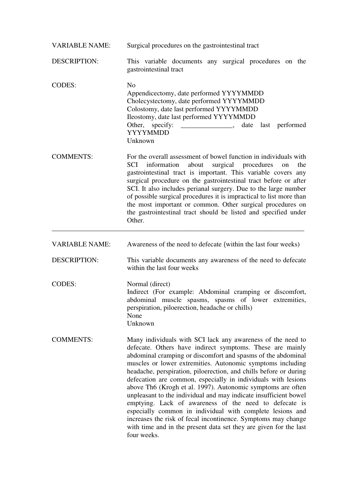| <b>VARIABLE NAME:</b> | Surgical procedures on the gastrointestinal tract                                                                                                                                                                                                                                                                                                                                                                                                                                                                                                                                                                                                                                                                                                                                                           |  |  |  |
|-----------------------|-------------------------------------------------------------------------------------------------------------------------------------------------------------------------------------------------------------------------------------------------------------------------------------------------------------------------------------------------------------------------------------------------------------------------------------------------------------------------------------------------------------------------------------------------------------------------------------------------------------------------------------------------------------------------------------------------------------------------------------------------------------------------------------------------------------|--|--|--|
| <b>DESCRIPTION:</b>   | This variable documents any surgical procedures on the<br>gastrointestinal tract                                                                                                                                                                                                                                                                                                                                                                                                                                                                                                                                                                                                                                                                                                                            |  |  |  |
| <b>CODES:</b>         | N <sub>0</sub><br>Appendicectomy, date performed YYYYMMDD<br>Cholecystectomy, date performed YYYYMMDD<br>Colostomy, date last performed YYYYMMDD<br>Ileostomy, date last performed YYYYMMDD<br>Other, specify: ________________, date last performed<br><b>YYYYMMDD</b><br>Unknown                                                                                                                                                                                                                                                                                                                                                                                                                                                                                                                          |  |  |  |
| <b>COMMENTS:</b>      | For the overall assessment of bowel function in individuals with<br>SCI<br>information<br>about<br>surgical procedures<br>the<br>on<br>gastrointestinal tract is important. This variable covers any<br>surgical procedure on the gastrointestinal tract before or after<br>SCI. It also includes perianal surgery. Due to the large number<br>of possible surgical procedures it is impractical to list more than<br>the most important or common. Other surgical procedures on<br>the gastrointestinal tract should be listed and specified under<br>Other.                                                                                                                                                                                                                                               |  |  |  |
| <b>VARIABLE NAME:</b> | Awareness of the need to defecate (within the last four weeks)                                                                                                                                                                                                                                                                                                                                                                                                                                                                                                                                                                                                                                                                                                                                              |  |  |  |
| <b>DESCRIPTION:</b>   | This variable documents any awareness of the need to defecate<br>within the last four weeks                                                                                                                                                                                                                                                                                                                                                                                                                                                                                                                                                                                                                                                                                                                 |  |  |  |
| <b>CODES:</b>         | Normal (direct)<br>Indirect (For example: Abdominal cramping or discomfort,<br>abdominal muscle spasms, spasms of lower extremities,<br>perspiration, piloerection, headache or chills)<br>None<br>Unknown                                                                                                                                                                                                                                                                                                                                                                                                                                                                                                                                                                                                  |  |  |  |
| <b>COMMENTS:</b>      | Many individuals with SCI lack any awareness of the need to<br>defecate. Others have indirect symptoms. These are mainly<br>abdominal cramping or discomfort and spasms of the abdominal<br>muscles or lower extremities. Autonomic symptoms including<br>headache, perspiration, piloerection, and chills before or during<br>defecation are common, especially in individuals with lesions<br>above Th6 (Krogh et al. 1997). Autonomic symptoms are often<br>unpleasant to the individual and may indicate insufficient bowel<br>emptying. Lack of awareness of the need to defecate is<br>especially common in individual with complete lesions and<br>increases the risk of fecal incontinence. Symptoms may change<br>with time and in the present data set they are given for the last<br>four weeks. |  |  |  |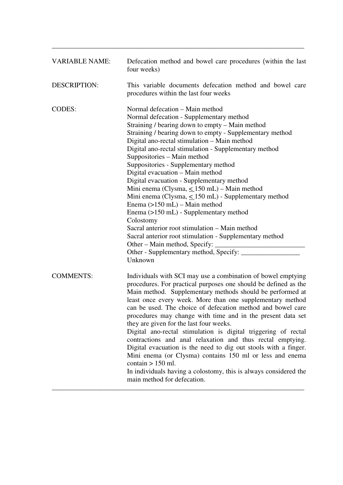| <b>VARIABLE NAME:</b> | Defecation method and bowel care procedures (within the last<br>four weeks)                                                                                                                                                                                                                                                                                                                                                                                                                                                                                                                                                                                                                                                                                                                                                                                                          |
|-----------------------|--------------------------------------------------------------------------------------------------------------------------------------------------------------------------------------------------------------------------------------------------------------------------------------------------------------------------------------------------------------------------------------------------------------------------------------------------------------------------------------------------------------------------------------------------------------------------------------------------------------------------------------------------------------------------------------------------------------------------------------------------------------------------------------------------------------------------------------------------------------------------------------|
| <b>DESCRIPTION:</b>   | This variable documents defecation method and bowel care<br>procedures within the last four weeks                                                                                                                                                                                                                                                                                                                                                                                                                                                                                                                                                                                                                                                                                                                                                                                    |
| <b>CODES:</b>         | Normal defecation – Main method<br>Normal defecation - Supplementary method<br>Straining / bearing down to empty – Main method<br>Straining / bearing down to empty - Supplementary method<br>Digital ano-rectal stimulation - Main method<br>Digital ano-rectal stimulation - Supplementary method<br>Suppositories – Main method<br>Suppositories - Supplementary method<br>Digital evacuation - Main method<br>Digital evacuation - Supplementary method<br>Mini enema (Clysma, < 150 mL) - Main method<br>Mini enema (Clysma, $\leq 150$ mL) - Supplementary method<br>Enema $(>150$ mL) – Main method<br>Enema (>150 mL) - Supplementary method<br>Colostomy<br>Sacral anterior root stimulation – Main method<br>Sacral anterior root stimulation - Supplementary method<br>Other – Main method, Specify: _____<br>Other - Supplementary method, Specify: _________<br>Unknown |
| <b>COMMENTS:</b>      | Individuals with SCI may use a combination of bowel emptying<br>procedures. For practical purposes one should be defined as the<br>Main method. Supplementary methods should be performed at<br>least once every week. More than one supplementary method<br>can be used. The choice of defecation method and bowel care<br>procedures may change with time and in the present data set<br>they are given for the last four weeks.<br>Digital ano-rectal stimulation is digital triggering of rectal<br>contractions and anal relaxation and thus rectal emptying.<br>Digital evacuation is the need to dig out stools with a finger.<br>Mini enema (or Clysma) contains 150 ml or less and enema<br>contain $> 150$ ml.<br>In individuals having a colostomy, this is always considered the<br>main method for defecation.                                                          |

\_\_\_\_\_\_\_\_\_\_\_\_\_\_\_\_\_\_\_\_\_\_\_\_\_\_\_\_\_\_\_\_\_\_\_\_\_\_\_\_\_\_\_\_\_\_\_\_\_\_\_\_\_\_\_\_\_\_\_\_\_\_\_\_\_\_\_\_\_\_\_\_\_

\_\_\_\_\_\_\_\_\_\_\_\_\_\_\_\_\_\_\_\_\_\_\_\_\_\_\_\_\_\_\_\_\_\_\_\_\_\_\_\_\_\_\_\_\_\_\_\_\_\_\_\_\_\_\_\_\_\_\_\_\_\_\_\_\_\_\_\_\_\_\_\_\_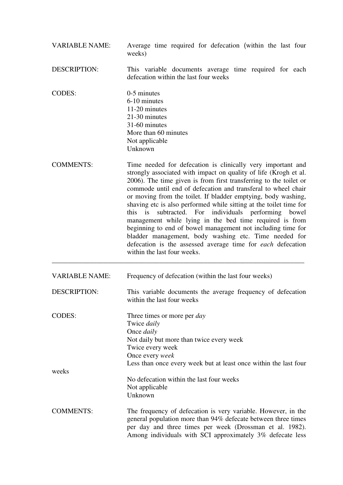| <b>VARIABLE NAME:</b> | Average time required for defecation (within the last four<br>weeks)                                                                                                                                                                                                                                                                                                                                                                                                                                                                                                                                                                                                                                                                                            |  |  |
|-----------------------|-----------------------------------------------------------------------------------------------------------------------------------------------------------------------------------------------------------------------------------------------------------------------------------------------------------------------------------------------------------------------------------------------------------------------------------------------------------------------------------------------------------------------------------------------------------------------------------------------------------------------------------------------------------------------------------------------------------------------------------------------------------------|--|--|
| <b>DESCRIPTION:</b>   | This variable documents average time required for each<br>defecation within the last four weeks                                                                                                                                                                                                                                                                                                                                                                                                                                                                                                                                                                                                                                                                 |  |  |
| <b>CODES:</b>         | 0-5 minutes<br>6-10 minutes<br>11-20 minutes<br>21-30 minutes<br>31-60 minutes<br>More than 60 minutes<br>Not applicable<br>Unknown                                                                                                                                                                                                                                                                                                                                                                                                                                                                                                                                                                                                                             |  |  |
| <b>COMMENTS:</b>      | Time needed for defecation is clinically very important and<br>strongly associated with impact on quality of life (Krogh et al.<br>2006). The time given is from first transferring to the toilet or<br>commode until end of defecation and transferal to wheel chair<br>or moving from the toilet. If bladder emptying, body washing,<br>shaving etc is also performed while sitting at the toilet time for<br>this is<br>subtracted. For individuals performing bowel<br>management while lying in the bed time required is from<br>beginning to end of bowel management not including time for<br>bladder management, body washing etc. Time needed for<br>defecation is the assessed average time for <i>each</i> defecation<br>within the last four weeks. |  |  |
| <b>VARIABLE NAME:</b> | Frequency of defecation (within the last four weeks)                                                                                                                                                                                                                                                                                                                                                                                                                                                                                                                                                                                                                                                                                                            |  |  |
| <b>DESCRIPTION:</b>   | This variable documents the average frequency of defecation<br>within the last four weeks                                                                                                                                                                                                                                                                                                                                                                                                                                                                                                                                                                                                                                                                       |  |  |
| <b>CODES:</b>         | Three times or more per <i>day</i><br>Twice daily<br>Once <i>daily</i><br>Not daily but more than twice every week<br>Twice every week<br>Once every week<br>Less than once every week but at least once within the last four                                                                                                                                                                                                                                                                                                                                                                                                                                                                                                                                   |  |  |
| weeks                 | No defecation within the last four weeks<br>Not applicable<br>Unknown                                                                                                                                                                                                                                                                                                                                                                                                                                                                                                                                                                                                                                                                                           |  |  |
| <b>COMMENTS:</b>      | The frequency of defecation is very variable. However, in the<br>general population more than 94% defecate between three times<br>per day and three times per week (Drossman et al. 1982).<br>Among individuals with SCI approximately 3% defecate less                                                                                                                                                                                                                                                                                                                                                                                                                                                                                                         |  |  |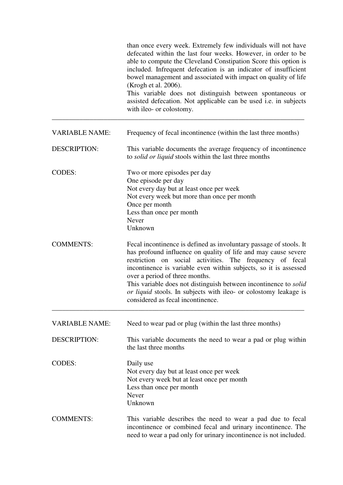|                       | than once every week. Extremely few individuals will not have<br>defecated within the last four weeks. However, in order to be<br>able to compute the Cleveland Constipation Score this option is<br>included. Infrequent defecation is an indicator of insufficient<br>bowel management and associated with impact on quality of life<br>(Krogh et al. 2006).<br>This variable does not distinguish between spontaneous or<br>assisted defecation. Not applicable can be used i.e. in subjects<br>with ileo- or colostomy. |
|-----------------------|-----------------------------------------------------------------------------------------------------------------------------------------------------------------------------------------------------------------------------------------------------------------------------------------------------------------------------------------------------------------------------------------------------------------------------------------------------------------------------------------------------------------------------|
| <b>VARIABLE NAME:</b> | Frequency of fecal incontinence (within the last three months)                                                                                                                                                                                                                                                                                                                                                                                                                                                              |
| <b>DESCRIPTION:</b>   | This variable documents the average frequency of incontinence<br>to <i>solid or liquid</i> stools within the last three months                                                                                                                                                                                                                                                                                                                                                                                              |
| <b>CODES:</b>         | Two or more episodes per day<br>One episode per day<br>Not every day but at least once per week<br>Not every week but more than once per month<br>Once per month<br>Less than once per month<br>Never<br>Unknown                                                                                                                                                                                                                                                                                                            |
| <b>COMMENTS:</b>      | Fecal incontinence is defined as involuntary passage of stools. It<br>has profound influence on quality of life and may cause severe<br>restriction on social activities. The frequency of fecal<br>incontinence is variable even within subjects, so it is assessed<br>over a period of three months.<br>This variable does not distinguish between incontinence to <i>solid</i><br>or liquid stools. In subjects with ileo- or colostomy leakage is<br>considered as fecal incontinence.                                  |
| <b>VARIABLE NAME:</b> | Need to wear pad or plug (within the last three months)                                                                                                                                                                                                                                                                                                                                                                                                                                                                     |
| <b>DESCRIPTION:</b>   | This variable documents the need to wear a pad or plug within<br>the last three months                                                                                                                                                                                                                                                                                                                                                                                                                                      |
| <b>CODES:</b>         | Daily use<br>Not every day but at least once per week<br>Not every week but at least once per month<br>Less than once per month<br>Never<br>Unknown                                                                                                                                                                                                                                                                                                                                                                         |
| <b>COMMENTS:</b>      | This variable describes the need to wear a pad due to fecal<br>incontinence or combined fecal and urinary incontinence. The<br>need to wear a pad only for urinary incontinence is not included.                                                                                                                                                                                                                                                                                                                            |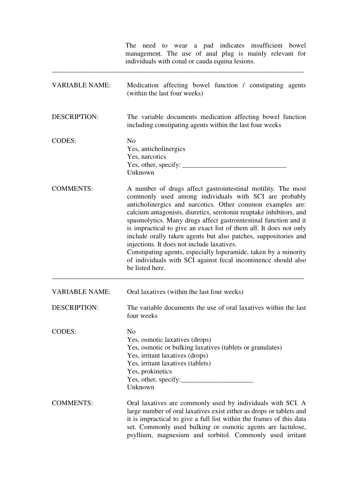|                                                                                                                                                                                                                                                                                                                                                                                                                                                                                                                                                                                                                                                                                                  | need to wear a pad indicates insufficient bowel<br>The 1<br>management. The use of anal plug is mainly relevant for<br>individuals with conal or cauda equina lesions.                                                                                                                                                                |  |  |
|--------------------------------------------------------------------------------------------------------------------------------------------------------------------------------------------------------------------------------------------------------------------------------------------------------------------------------------------------------------------------------------------------------------------------------------------------------------------------------------------------------------------------------------------------------------------------------------------------------------------------------------------------------------------------------------------------|---------------------------------------------------------------------------------------------------------------------------------------------------------------------------------------------------------------------------------------------------------------------------------------------------------------------------------------|--|--|
| <b>VARIABLE NAME:</b><br>Medication affecting bowel function / constipating agents<br>(within the last four weeks)                                                                                                                                                                                                                                                                                                                                                                                                                                                                                                                                                                               |                                                                                                                                                                                                                                                                                                                                       |  |  |
| <b>DESCRIPTION:</b>                                                                                                                                                                                                                                                                                                                                                                                                                                                                                                                                                                                                                                                                              | The variable documents medication affecting bowel function<br>including constipating agents within the last four weeks                                                                                                                                                                                                                |  |  |
| <b>CODES:</b>                                                                                                                                                                                                                                                                                                                                                                                                                                                                                                                                                                                                                                                                                    | N <sub>0</sub><br>Yes, anticholinergics<br>Yes, narcotics<br>Unknown                                                                                                                                                                                                                                                                  |  |  |
| <b>COMMENTS:</b><br>A number of drugs affect gastrointestinal motility. The most<br>commonly used among individuals with SCI are probably<br>anticholinergics and narcotics. Other common examples are:<br>calcium antagonists, diuretics, serotonin reuptake inhibitors, and<br>spasmolytics. Many drugs affect gastrointestinal function and it<br>is impractical to give an exact list of them all. It does not only<br>include orally taken agents but also patches, suppositories and<br>injections. It does not include laxatives.<br>Constipating agents, especially loperamide, taken by a minority<br>of individuals with SCI against fecal incontinence should also<br>be listed here. |                                                                                                                                                                                                                                                                                                                                       |  |  |
| <b>VARIABLE NAME:</b>                                                                                                                                                                                                                                                                                                                                                                                                                                                                                                                                                                                                                                                                            | Oral laxatives (within the last four weeks)                                                                                                                                                                                                                                                                                           |  |  |
| <b>DESCRIPTION:</b>                                                                                                                                                                                                                                                                                                                                                                                                                                                                                                                                                                                                                                                                              | The variable documents the use of oral laxatives within the last<br>four weeks                                                                                                                                                                                                                                                        |  |  |
| <b>CODES:</b>                                                                                                                                                                                                                                                                                                                                                                                                                                                                                                                                                                                                                                                                                    | N <sub>0</sub><br>Yes, osmotic laxatives (drops)<br>Yes, osmotic or bulking laxatives (tablets or granulates)<br>Yes, irritant laxatives (drops)<br>Yes, irritant laxatives (tablets)<br>Yes, prokinetics<br>Unknown                                                                                                                  |  |  |
| <b>COMMENTS:</b>                                                                                                                                                                                                                                                                                                                                                                                                                                                                                                                                                                                                                                                                                 | Oral laxatives are commonly used by individuals with SCI. A<br>large number of oral laxatives exist either as drops or tablets and<br>it is impractical to give a full list within the frames of this data<br>set. Commonly used bulking or osmotic agents are lactulose,<br>psyllium, magnesium and sorbitol. Commonly used irritant |  |  |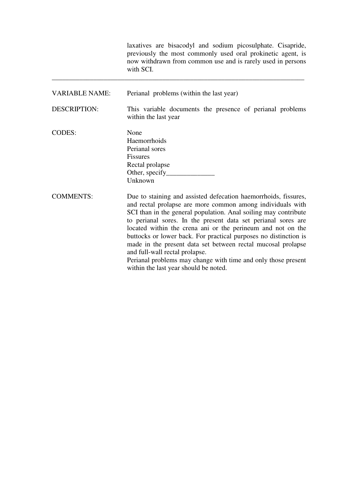laxatives are bisacodyl and sodium picosulphate. Cisapride, previously the most commonly used oral prokinetic agent, is now withdrawn from common use and is rarely used in persons with SCI. \_\_\_\_\_\_\_\_\_\_\_\_\_\_\_\_\_\_\_\_\_\_\_\_\_\_\_\_\_\_\_\_\_\_\_\_\_\_\_\_\_\_\_\_\_\_\_\_\_\_\_\_\_\_\_\_\_\_\_\_\_\_\_\_\_\_\_\_\_\_\_\_\_

| <b>VARIABLE NAME:</b> | Perianal problems (within the last year)                                                                                                                                                                                                                                                                                                                                                                                                                                                                                                                                                                         |  |  |  |
|-----------------------|------------------------------------------------------------------------------------------------------------------------------------------------------------------------------------------------------------------------------------------------------------------------------------------------------------------------------------------------------------------------------------------------------------------------------------------------------------------------------------------------------------------------------------------------------------------------------------------------------------------|--|--|--|
| <b>DESCRIPTION:</b>   | This variable documents the presence of perianal problems<br>within the last year                                                                                                                                                                                                                                                                                                                                                                                                                                                                                                                                |  |  |  |
| CODES:                | None<br>Haemorrhoids<br>Perianal sores<br><b>Fissures</b><br>Rectal prolapse<br>Unknown                                                                                                                                                                                                                                                                                                                                                                                                                                                                                                                          |  |  |  |
| <b>COMMENTS:</b>      | Due to staining and assisted defecation haemorrhoids, fissures,<br>and rectal prolapse are more common among individuals with<br>SCI than in the general population. Anal soiling may contribute<br>to perianal sores. In the present data set perianal sores are<br>located within the crena ani or the perineum and not on the<br>buttocks or lower back. For practical purposes no distinction is<br>made in the present data set between rectal mucosal prolapse<br>and full-wall rectal prolapse.<br>Perianal problems may change with time and only those present<br>within the last year should be noted. |  |  |  |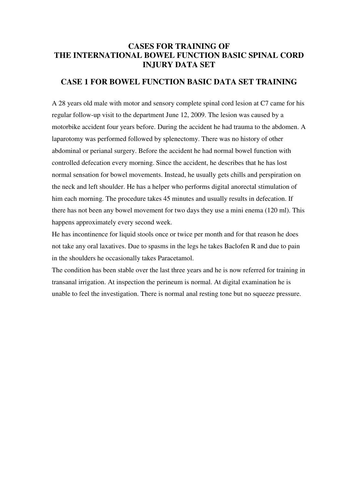## **CASES FOR TRAINING OF THE INTERNATIONAL BOWEL FUNCTION BASIC SPINAL CORD INJURY DATA SET**

## **CASE 1 FOR BOWEL FUNCTION BASIC DATA SET TRAINING**

A 28 years old male with motor and sensory complete spinal cord lesion at C7 came for his regular follow-up visit to the department June 12, 2009. The lesion was caused by a motorbike accident four years before. During the accident he had trauma to the abdomen. A laparotomy was performed followed by splenectomy. There was no history of other abdominal or perianal surgery. Before the accident he had normal bowel function with controlled defecation every morning. Since the accident, he describes that he has lost normal sensation for bowel movements. Instead, he usually gets chills and perspiration on the neck and left shoulder. He has a helper who performs digital anorectal stimulation of him each morning. The procedure takes 45 minutes and usually results in defecation. If there has not been any bowel movement for two days they use a mini enema (120 ml). This happens approximately every second week.

He has incontinence for liquid stools once or twice per month and for that reason he does not take any oral laxatives. Due to spasms in the legs he takes Baclofen R and due to pain in the shoulders he occasionally takes Paracetamol.

The condition has been stable over the last three years and he is now referred for training in transanal irrigation. At inspection the perineum is normal. At digital examination he is unable to feel the investigation. There is normal anal resting tone but no squeeze pressure.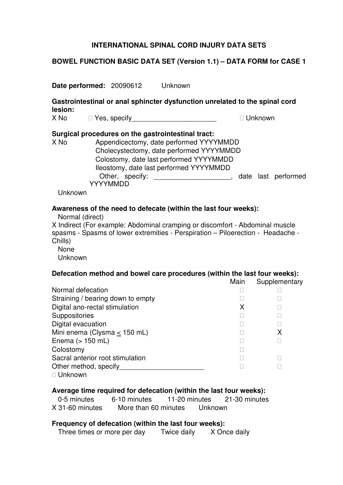## **BOWEL FUNCTION BASIC DATA SET (Version 1.1) – DATA FORM for CASE 1**

**Date performed:** 20090612 Unknown **Gastrointestinal or anal sphincter dysfunction unrelated to the spinal cord lesion:**  X No Yes, specify The Contract of the Unknown **Surgical procedures on the gastrointestinal tract:**  X No Appendicectomy, date performed YYYYMMDD Cholecystectomy, date performed YYYYMMDD Colostomy, date last performed YYYYMMDD Ileostomy, date last performed YYYYMMDD Other, specify: \_\_\_\_\_\_\_\_\_\_\_\_\_\_\_\_\_\_\_\_, date last performed YYYYMMDD Unknown **Awareness of the need to defecate (within the last four weeks):**  Normal (direct) X Indirect (For example: Abdominal cramping or discomfort - Abdominal muscle spasms - Spasms of lower extremities - Perspiration – Piloerection - Headache - Chills) None Unknown **Defecation method and bowel care procedures (within the last four weeks):** Main Supplementary Normal defecation Straining / bearing down to empty Digital ano-rectal stimulation Network Channels A **Suppositories** Digital evacuation Mini enema (Clysma < 150 mL) X Enema (> 150 mL) Colostomy Sacral anterior root stimulation Other method, specify Unknown **Average time required for defecation (within the last four weeks):** 0-5 minutes 6-10 minutes 11-20 minutes 21-30 minutes X 31-60 minutes More than 60 minutes Unknown **Frequency of defecation (within the last four weeks):** 

Three times or more per day Twice daily X Once daily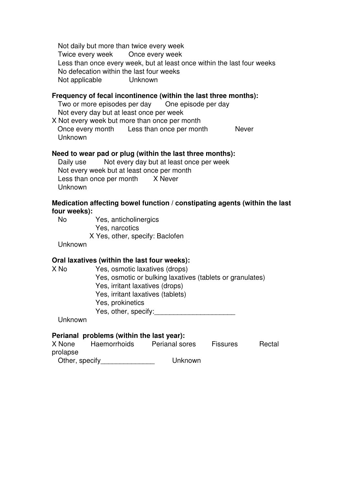Not daily but more than twice every week Twice every week Once every week Less than once every week, but at least once within the last four weeks No defecation within the last four weeks Not applicable Unknown

#### **Frequency of fecal incontinence (within the last three months):**

Two or more episodes per day One episode per day Not every day but at least once per week

X Not every week but more than once per month Once every month Less than once per month Never Unknown

#### **Need to wear pad or plug (within the last three months):**

Daily use Not every day but at least once per week Not every week but at least once per month Less than once per month X Never Unknown

## **Medication affecting bowel function / constipating agents (within the last four weeks):**

 No Yes, anticholinergics Yes, narcotics X Yes, other, specify: Baclofen

Unknown

#### **Oral laxatives (within the last four weeks):**

X No Yes, osmotic laxatives (drops) Yes, osmotic or bulking laxatives (tablets or granulates) Yes, irritant laxatives (drops) Yes, irritant laxatives (tablets) Yes, prokinetics Yes, other, specify:

Unknown

| X None         | Haemorrhoids | Perianal sores | <b>Fissures</b> | Rectal |
|----------------|--------------|----------------|-----------------|--------|
| prolapse       |              |                |                 |        |
| Other, specify |              | Unknown        |                 |        |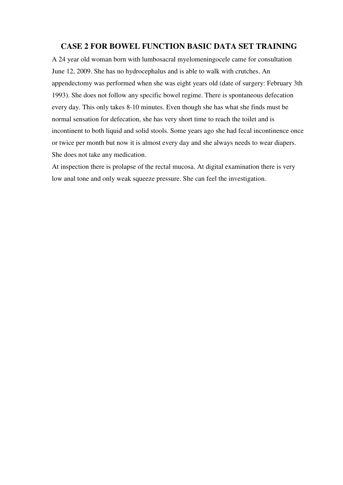### **CASE 2 FOR BOWEL FUNCTION BASIC DATA SET TRAINING**

A 24 year old woman born with lumbosacral myelomeningocele came for consultation June 12, 2009. She has no hydrocephalus and is able to walk with crutches. An appendectomy was performed when she was eight years old (date of surgery: February 3th 1993). She does not follow any specific bowel regime. There is spontaneous defecation every day. This only takes 8-10 minutes. Even though she has what she finds must be normal sensation for defecation, she has very short time to reach the toilet and is incontinent to both liquid and solid stools. Some years ago she had fecal incontinence once or twice per month but now it is almost every day and she always needs to wear diapers. She does not take any medication.

At inspection there is prolapse of the rectal mucosa. At digital examination there is very low anal tone and only weak squeeze pressure. She can feel the investigation.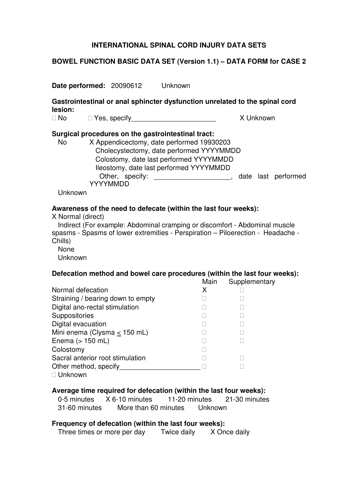## **BOWEL FUNCTION BASIC DATA SET (Version 1.1) – DATA FORM for CASE 2**

**Date performed:** 20090612 Unknown

**Gastrointestinal or anal sphincter dysfunction unrelated to the spinal cord lesion:** 

No Yes, specify and the settlement of the Number of Allen Structure and Allen Structure and Allen Structure and A

## **Surgical procedures on the gastrointestinal tract:**

 No X Appendicectomy, date performed 19930203 Cholecystectomy, date performed YYYYMMDD Colostomy, date last performed YYYYMMDD Ileostomy, date last performed YYYYMMDD Other, specify: \_\_\_\_\_\_\_\_\_\_\_\_\_\_\_\_\_\_\_\_, date last performed YYYYMMDD

Unknown

## **Awareness of the need to defecate (within the last four weeks):**

X Normal (direct)

 Indirect (For example: Abdominal cramping or discomfort - Abdominal muscle spasms - Spasms of lower extremities - Perspiration – Piloerection - Headache - Chills)

None

Unknown

## **Defecation method and bowel care procedures (within the last four weeks):**

Main Supplementary

Normal defecation X Straining / bearing down to empty Digital ano-rectal stimulation **Suppositories** Digital evacuation Mini enema (Clysma < 150 mL) Enema (> 150 mL) Colostomy Sacral anterior root stimulation Other method, specify Unknown

## **Average time required for defecation (within the last four weeks):**

 0-5 minutes X 6-10 minutes 11-20 minutes 21-30 minutes 31-60 minutes More than 60 minutes Unknown

## **Frequency of defecation (within the last four weeks):**

Three times or more per day Twice daily X Once daily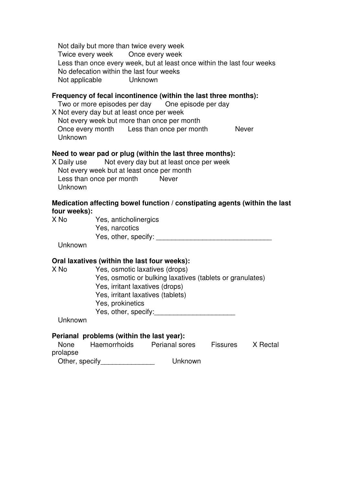Not daily but more than twice every week Twice every week Once every week Less than once every week, but at least once within the last four weeks No defecation within the last four weeks Not applicable Unknown

#### **Frequency of fecal incontinence (within the last three months):**

Two or more episodes per day One episode per day X Not every day but at least once per week Not every week but more than once per month Once every month Less than once per month Never Unknown

#### **Need to wear pad or plug (within the last three months):**

X Daily use Not every day but at least once per week Not every week but at least once per month Less than once per month Never Unknown

## **Medication affecting bowel function / constipating agents (within the last four weeks):**

X No Yes, anticholinergics Yes, narcotics Yes, other, specify:  $\blacksquare$ 

Unknown

## **Oral laxatives (within the last four weeks):**

X No Yes, osmotic laxatives (drops) Yes, osmotic or bulking laxatives (tablets or granulates) Yes, irritant laxatives (drops) Yes, irritant laxatives (tablets) Yes, prokinetics Yes, other, specify:

Unknown

| <b>None</b>    | Haemorrhoids | Perianal sores | <b>Fissures</b> | X Rectal |
|----------------|--------------|----------------|-----------------|----------|
| prolapse       |              |                |                 |          |
| Other, specify |              | Unknown        |                 |          |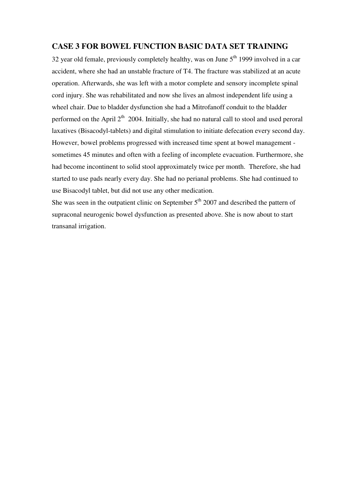## **CASE 3 FOR BOWEL FUNCTION BASIC DATA SET TRAINING**

32 year old female, previously completely healthy, was on June  $5<sup>th</sup>$  1999 involved in a car accident, where she had an unstable fracture of T4. The fracture was stabilized at an acute operation. Afterwards, she was left with a motor complete and sensory incomplete spinal cord injury. She was rehabilitated and now she lives an almost independent life using a wheel chair. Due to bladder dysfunction she had a Mitrofanoff conduit to the bladder performed on the April  $2<sup>th</sup>$  2004. Initially, she had no natural call to stool and used peroral laxatives (Bisacodyl-tablets) and digital stimulation to initiate defecation every second day. However, bowel problems progressed with increased time spent at bowel management sometimes 45 minutes and often with a feeling of incomplete evacuation. Furthermore, she had become incontinent to solid stool approximately twice per month. Therefore, she had started to use pads nearly every day. She had no perianal problems. She had continued to use Bisacodyl tablet, but did not use any other medication.

She was seen in the outpatient clinic on September  $5<sup>th</sup>$  2007 and described the pattern of supraconal neurogenic bowel dysfunction as presented above. She is now about to start transanal irrigation.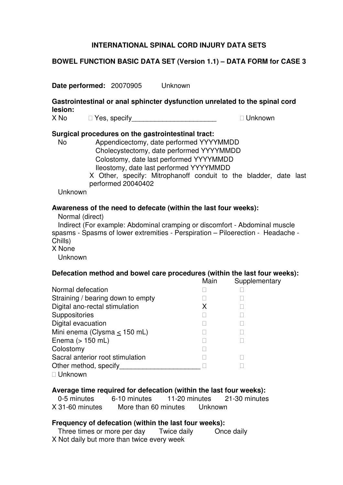## **BOWEL FUNCTION BASIC DATA SET (Version 1.1) – DATA FORM for CASE 3**

**Date performed:** 20070905 Unknown

**Gastrointestinal or anal sphincter dysfunction unrelated to the spinal cord lesion:** 

X No The Yes, specify The Term of the Unknown

#### **Surgical procedures on the gastrointestinal tract:**

- No Appendicectomy, date performed YYYYMMDD Cholecystectomy, date performed YYYYMMDD Colostomy, date last performed YYYYMMDD Ileostomy, date last performed YYYYMMDD
	- X Other, specify: Mitrophanoff conduit to the bladder, date last performed 20040402

Unknown

#### **Awareness of the need to defecate (within the last four weeks):**

Normal (direct)

 Indirect (For example: Abdominal cramping or discomfort - Abdominal muscle spasms - Spasms of lower extremities - Perspiration – Piloerection - Headache - Chills)

X None

Unknown

## **Defecation method and bowel care procedures (within the last four weeks):**

Main Supplementary

Normal defecation Straining / bearing down to empty Digital ano-rectal stimulation Manuscript A **Suppositories** Digital evacuation Mini enema (Clysma < 150 mL) Enema  $(> 150$  mL) Colostomy Sacral anterior root stimulation Other method, specify\_\_\_\_\_\_\_\_\_\_\_\_\_\_\_\_\_\_\_\_\_ Unknown

#### **Average time required for defecation (within the last four weeks):**

 0-5 minutes 6-10 minutes 11-20 minutes 21-30 minutes X 31-60 minutes More than 60 minutes Unknown

#### **Frequency of defecation (within the last four weeks):**

 Three times or more per day Twice daily Once daily X Not daily but more than twice every week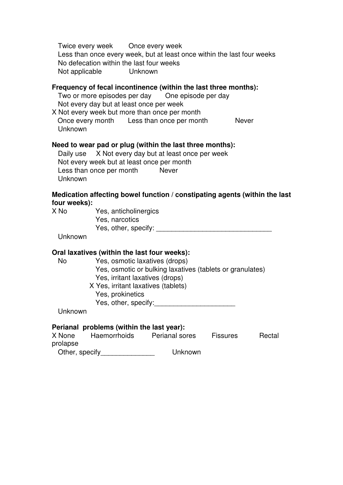Twice every week Once every week Less than once every week, but at least once within the last four weeks No defecation within the last four weeks Not applicable Unknown

### **Frequency of fecal incontinence (within the last three months):**

Two or more episodes per day One episode per day Not every day but at least once per week X Not every week but more than once per month Once every month Less than once per month Never Unknown

#### **Need to wear pad or plug (within the last three months):**

 Daily use X Not every day but at least once per week Not every week but at least once per month Less than once per month Never Unknown

### **Medication affecting bowel function / constipating agents (within the last four weeks):**

X No Yes, anticholinergics Yes, narcotics Yes, other, specify:

### Unknown

## **Oral laxatives (within the last four weeks):**

 No Yes, osmotic laxatives (drops) Yes, osmotic or bulking laxatives (tablets or granulates) Yes, irritant laxatives (drops)

X Yes, irritant laxatives (tablets)

Yes, prokinetics

Yes, other, specify:\_\_\_\_\_\_\_\_\_\_\_\_\_\_\_\_\_\_\_\_\_

Unknown

| X None         | Haemorrhoids | Perianal sores | <b>Fissures</b> | Rectal |
|----------------|--------------|----------------|-----------------|--------|
| prolapse       |              |                |                 |        |
| Other, specify |              | Unknown        |                 |        |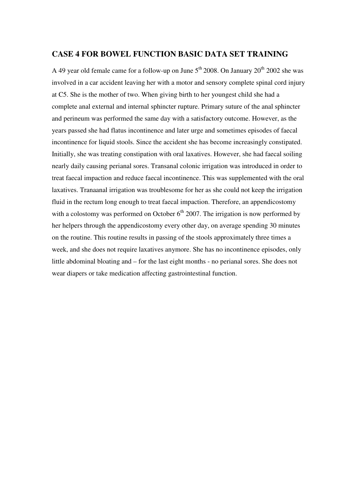## **CASE 4 FOR BOWEL FUNCTION BASIC DATA SET TRAINING**

A 49 year old female came for a follow-up on June  $5<sup>th</sup> 2008$ . On January  $20<sup>th</sup> 2002$  she was involved in a car accident leaving her with a motor and sensory complete spinal cord injury at C5. She is the mother of two. When giving birth to her youngest child she had a complete anal external and internal sphincter rupture. Primary suture of the anal sphincter and perineum was performed the same day with a satisfactory outcome. However, as the years passed she had flatus incontinence and later urge and sometimes episodes of faecal incontinence for liquid stools. Since the accident she has become increasingly constipated. Initially, she was treating constipation with oral laxatives. However, she had faecal soiling nearly daily causing perianal sores. Transanal colonic irrigation was introduced in order to treat faecal impaction and reduce faecal incontinence. This was supplemented with the oral laxatives. Tranaanal irrigation was troublesome for her as she could not keep the irrigation fluid in the rectum long enough to treat faecal impaction. Therefore, an appendicostomy with a colostomy was performed on October  $6<sup>th</sup>$  2007. The irrigation is now performed by her helpers through the appendicostomy every other day, on average spending 30 minutes on the routine. This routine results in passing of the stools approximately three times a week, and she does not require laxatives anymore. She has no incontinence episodes, only little abdominal bloating and – for the last eight months - no perianal sores. She does not wear diapers or take medication affecting gastrointestinal function.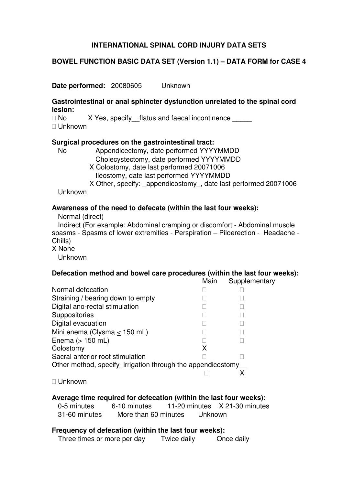## **BOWEL FUNCTION BASIC DATA SET (Version 1.1) – DATA FORM for CASE 4**

**Date performed:** 20080605 Unknown

#### **Gastrointestinal or anal sphincter dysfunction unrelated to the spinal cord lesion:**

No X Yes, specify flatus and faecal incontinence Unknown

#### **Surgical procedures on the gastrointestinal tract:**

 No Appendicectomy, date performed YYYYMMDD Cholecystectomy, date performed YYYYMMDD

X Colostomy, date last performed 20071006

Ileostomy, date last performed YYYYMMDD

X Other, specify: appendicostomy, date last performed 20071006

Unknown

#### **Awareness of the need to defecate (within the last four weeks):**

Normal (direct)

 Indirect (For example: Abdominal cramping or discomfort - Abdominal muscle spasms - Spasms of lower extremities - Perspiration – Piloerection - Headache - Chills)

X None

Unknown

## **Defecation method and bowel care procedures (within the last four weeks):**

Main Supplementary

Normal defecation Straining / bearing down to empty Digital ano-rectal stimulation **Suppositories** Digital evacuation Mini enema (Clysma < 150 mL) Enema  $(> 150$  mL) Colostomy X Sacral anterior root stimulation Other method, specify irrigation through the appendicostomy X

Unknown

## **Average time required for defecation (within the last four weeks):**

 0-5 minutes 6-10 minutes 11-20 minutes X 21-30 minutes 31-60 minutes More than 60 minutes Unknown

## **Frequency of defecation (within the last four weeks):**

Three times or more per day Twice daily Once daily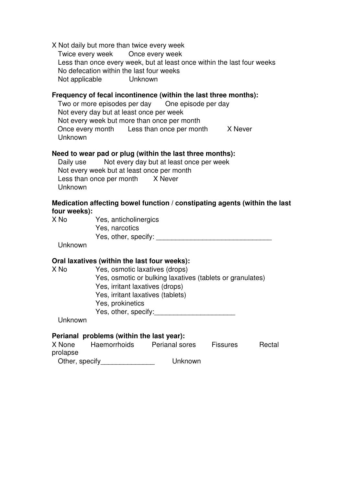X Not daily but more than twice every week Twice every week Once every week Less than once every week, but at least once within the last four weeks No defecation within the last four weeks Not applicable Unknown

## **Frequency of fecal incontinence (within the last three months):**

Two or more episodes per day One episode per day Not every day but at least once per week Not every week but more than once per month Once every month Less than once per month X Never Unknown

#### **Need to wear pad or plug (within the last three months):**

 Daily use Not every day but at least once per week Not every week but at least once per month Less than once per month X Never Unknown

## **Medication affecting bowel function / constipating agents (within the last four weeks):**

X No Yes, anticholinergics Yes, narcotics Yes, other, specify: **Example 20** 

Unknown

#### **Oral laxatives (within the last four weeks):**

X No Yes, osmotic laxatives (drops) Yes, osmotic or bulking laxatives (tablets or granulates) Yes, irritant laxatives (drops) Yes, irritant laxatives (tablets) Yes, prokinetics Yes, other, specify:

Unknown

| X None         | Haemorrhoids | Perianal sores | <b>Fissures</b> | Rectal |
|----------------|--------------|----------------|-----------------|--------|
| prolapse       |              |                |                 |        |
| Other, specify |              | Unknown        |                 |        |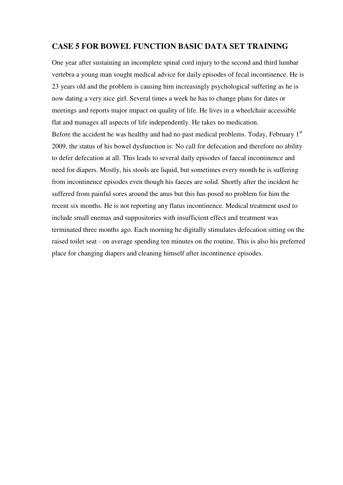## **CASE 5 FOR BOWEL FUNCTION BASIC DATA SET TRAINING**

One year after sustaining an incomplete spinal cord injury to the second and third lumbar vertebra a young man sought medical advice for daily episodes of fecal incontinence. He is 23 years old and the problem is causing him increasingly psychological suffering as he is now dating a very nice girl. Several times a week he has to change plans for dates or meetings and reports major impact on quality of life. He lives in a wheelchair accessible flat and manages all aspects of life independently. He takes no medication. Before the accident he was healthy and had no past medical problems. Today, February  $1<sup>st</sup>$ 2009, the status of his bowel dysfunction is: No call for defecation and therefore no ability to defer defecation at all. This leads to several daily episodes of faecal incontinence and need for diapers. Mostly, his stools are liquid, but sometimes every month he is suffering from incontinence episodes even though his faeces are solid. Shortly after the incident he suffered from painful sores around the anus but this has posed no problem for him the recent six months. He is not reporting any flatus incontinence. Medical treatment used to include small enemas and suppositories with insufficient effect and treatment was terminated three months ago. Each morning he digitally stimulates defecation sitting on the raised toilet seat - on average spending ten minutes on the routine. This is also his preferred place for changing diapers and cleaning himself after incontinence episodes.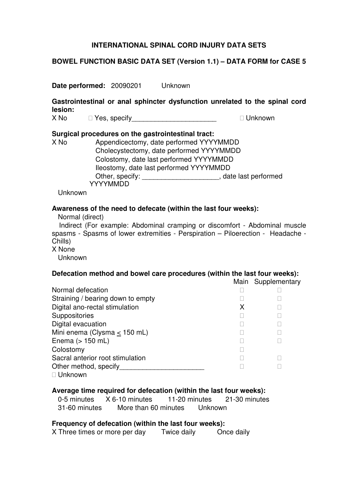## **BOWEL FUNCTION BASIC DATA SET (Version 1.1) – DATA FORM for CASE 5**

**Date performed:** 20090201 Unknown

**Gastrointestinal or anal sphincter dysfunction unrelated to the spinal cord lesion:** 

X No Yes, specify The Contract of the Unknown

#### **Surgical procedures on the gastrointestinal tract:**

X No Appendicectomy, date performed YYYYMMDD Cholecystectomy, date performed YYYYMMDD Colostomy, date last performed YYYYMMDD Ileostomy, date last performed YYYYMMDD Other, specify: \_\_\_\_\_\_\_\_\_\_\_\_\_\_\_\_\_\_\_\_, date last performed YYYYMMDD

Unknown

#### **Awareness of the need to defecate (within the last four weeks):**

Normal (direct)

 Indirect (For example: Abdominal cramping or discomfort - Abdominal muscle spasms - Spasms of lower extremities - Perspiration – Piloerection - Headache - Chills)

X None

Unknown

#### **Defecation method and bowel care procedures (within the last four weeks):**

Main Supplementary

| Normal defecation                 |   |
|-----------------------------------|---|
| Straining / bearing down to empty |   |
| Digital ano-rectal stimulation    | x |
| Suppositories                     |   |
| Digital evacuation                |   |
| Mini enema (Clysma $\leq$ 150 mL) |   |
| Enema $(> 150$ mL)                |   |
| Colostomy                         |   |
| Sacral anterior root stimulation  |   |
| Other method, specify             |   |
| Unknown                           |   |
|                                   |   |

## **Average time required for defecation (within the last four weeks):**

 0-5 minutes X 6-10 minutes 11-20 minutes 21-30 minutes 31-60 minutes More than 60 minutes Unknown

#### **Frequency of defecation (within the last four weeks):**

X Three times or more per day Twice daily Once daily